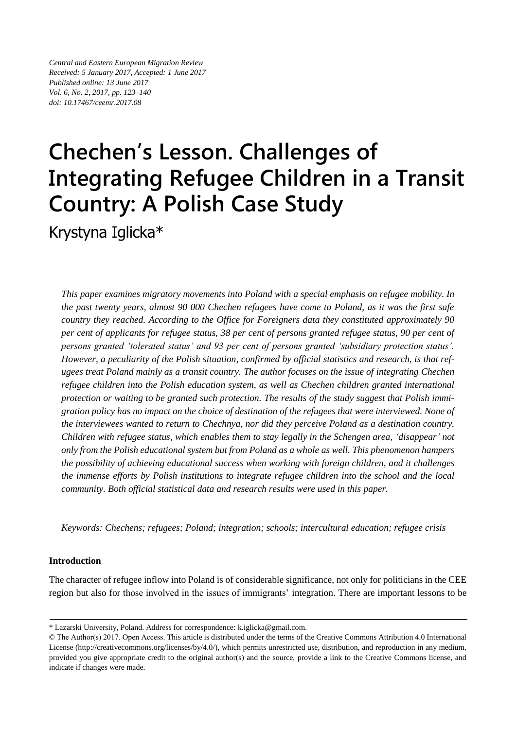*Central and Eastern European Migration Review Received: 5 January 2017, Accepted: 1 June 2017 Published online: 13 June 2017 Vol. 6, No. 2, 2017, pp. 123–140 doi: 10.17467/ceemr.2017.08*

# **Chechen's Lesson. Challenges of Integrating Refugee Children in a Transit Country: A Polish Case Study**

Krystyna Iglicka\*

*This paper examines migratory movements into Poland with a special emphasis on refugee mobility. In the past twenty years, almost 90 000 Chechen refugees have come to Poland, as it was the first safe country they reached. According to the Office for Foreigners data they constituted approximately 90 per cent of applicants for refugee status, 38 per cent of persons granted refugee status, 90 per cent of persons granted 'tolerated status' and 93 per cent of persons granted 'subsidiary protection status'. However, a peculiarity of the Polish situation, confirmed by official statistics and research, is that refugees treat Poland mainly as a transit country. The author focuses on the issue of integrating Chechen refugee children into the Polish education system, as well as Chechen children granted international protection or waiting to be granted such protection. The results of the study suggest that Polish immigration policy has no impact on the choice of destination of the refugees that were interviewed. None of the interviewees wanted to return to Chechnya, nor did they perceive Poland as a destination country. Children with refugee status, which enables them to stay legally in the Schengen area, 'disappear' not only from the Polish educational system but from Poland as a whole as well. This phenomenon hampers the possibility of achieving educational success when working with foreign children, and it challenges the immense efforts by Polish institutions to integrate refugee children into the school and the local community. Both official statistical data and research results were used in this paper.*

*Keywords: Chechens; refugees; Poland; integration; schools; intercultural education; refugee crisis*

## **Introduction**

The character of refugee inflow into Poland is of considerable significance, not only for politicians in the CEE region but also for those involved in the issues of immigrants' integration. There are important lessons to be

<sup>\*</sup> Lazarski University, Poland. Address for correspondence: k.iglicka@gmail.com.

<sup>©</sup> The Author(s) 2017. Open Access. This article is distributed under the terms of the Creative Commons Attribution 4.0 International License [\(http://creativecommons.org/licenses/by/4.0/\)](http://creativecommons.org/licenses/by/4.0/), which permits unrestricted use, distribution, and reproduction in any medium, provided you give appropriate credit to the original author(s) and the source, provide a link to the Creative Commons license, and indicate if changes were made.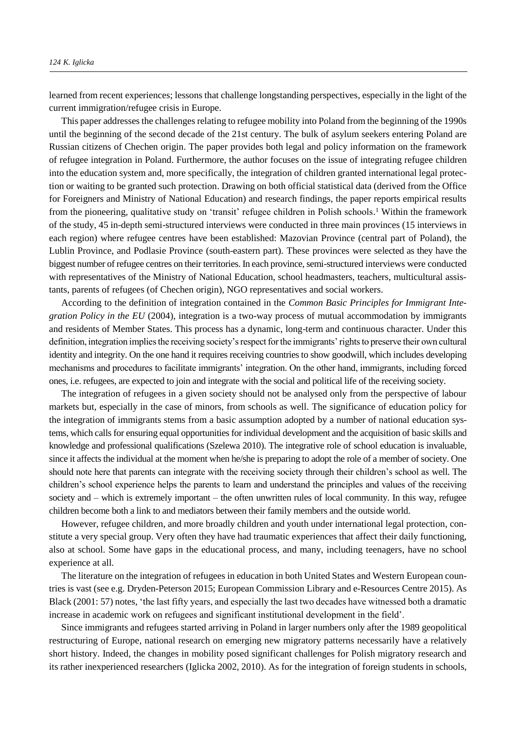learned from recent experiences; lessons that challenge longstanding perspectives, especially in the light of the current immigration/refugee crisis in Europe.

This paper addressesthe challenges relating to refugee mobility into Poland from the beginning of the 1990s until the beginning of the second decade of the 21st century. The bulk of asylum seekers entering Poland are Russian citizens of Chechen origin. The paper provides both legal and policy information on the framework of refugee integration in Poland. Furthermore, the author focuses on the issue of integrating refugee children into the education system and, more specifically, the integration of children granted international legal protection or waiting to be granted such protection. Drawing on both official statistical data (derived from the Office for Foreigners and Ministry of National Education) and research findings, the paper reports empirical results from the pioneering, qualitative study on 'transit' refugee children in Polish schools.<sup>1</sup> Within the framework of the study, 45 in-depth semi-structured interviews were conducted in three main provinces (15 interviews in each region) where refugee centres have been established: Mazovian Province (central part of Poland), the Lublin Province, and Podlasie Province (south-eastern part). These provinces were selected as they have the biggest number of refugee centres on their territories. In each province, semi-structured interviews were conducted with representatives of the Ministry of National Education, school headmasters, teachers, multicultural assistants, parents of refugees (of Chechen origin), NGO representatives and social workers.

According to the definition of integration contained in the *Common Basic Principles for Immigrant Integration Policy in the EU* (2004), integration is a two-way process of mutual accommodation by immigrants and residents of Member States. This process has a dynamic, long-term and continuous character. Under this definition, integration implies the receiving society's respect for the immigrants' rights to preserve their own cultural identity and integrity. On the one hand it requires receiving countries to show goodwill, which includes developing mechanisms and procedures to facilitate immigrants' integration. On the other hand, immigrants, including forced ones, i.e. refugees, are expected to join and integrate with the social and political life of the receiving society.

The integration of refugees in a given society should not be analysed only from the perspective of labour markets but, especially in the case of minors, from schools as well. The significance of education policy for the integration of immigrants stems from a basic assumption adopted by a number of national education systems, which calls for ensuring equal opportunities for individual development and the acquisition of basic skills and knowledge and professional qualifications (Szelewa 2010). The integrative role of school education is invaluable, since it affects the individual at the moment when he/she is preparing to adopt the role of a member of society. One should note here that parents can integrate with the receiving society through their children's school as well. The children's school experience helps the parents to learn and understand the principles and values of the receiving society and – which is extremely important – the often unwritten rules of local community. In this way, refugee children become both a link to and mediators between their family members and the outside world.

However, refugee children, and more broadly children and youth under international legal protection, constitute a very special group. Very often they have had traumatic experiences that affect their daily functioning, also at school. Some have gaps in the educational process, and many, including teenagers, have no school experience at all.

The literature on the integration of refugees in education in both United States and Western European countries is vast (see e.g. Dryden-Peterson 2015; European Commission Library and e-Resources Centre 2015). As Black (2001: 57) notes, 'the last fifty years, and especially the last two decades have witnessed both a dramatic increase in academic work on refugees and significant institutional development in the field'.

Since immigrants and refugees started arriving in Poland in larger numbers only after the 1989 geopolitical restructuring of Europe, national research on emerging new migratory patterns necessarily have a relatively short history. Indeed, the changes in mobility posed significant challenges for Polish migratory research and its rather inexperienced researchers (Iglicka 2002, 2010). As for the integration of foreign students in schools,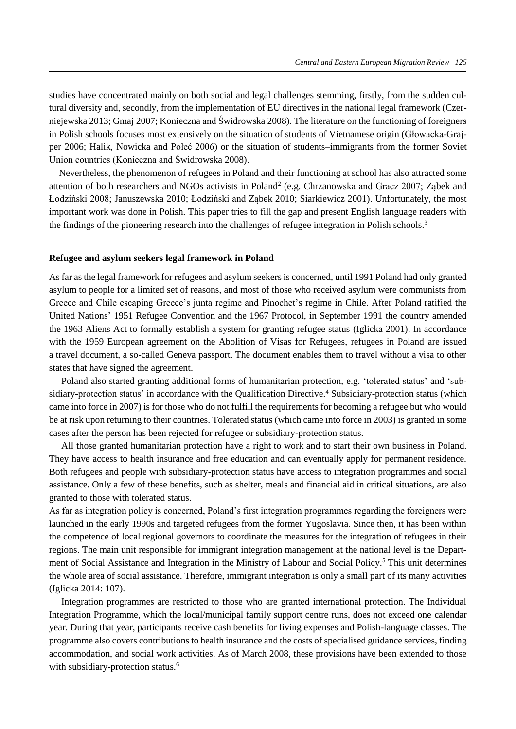studies have concentrated mainly on both social and legal challenges stemming, firstly, from the sudden cultural diversity and, secondly, from the implementation of EU directives in the national legal framework (Czerniejewska 2013; Gmaj 2007; Konieczna and Świdrowska 2008). The literature on the functioning of foreigners in Polish schools focuses most extensively on the situation of students of Vietnamese origin (Głowacka-Grajper 2006; Halik, Nowicka and Połeć 2006) or the situation of students–immigrants from the former Soviet Union countries (Konieczna and Świdrowska 2008).

Nevertheless, the phenomenon of refugees in Poland and their functioning at school has also attracted some attention of both researchers and NGOs activists in Poland<sup>2</sup> (e.g. Chrzanowska and Gracz 2007; Ząbek and Łodziński 2008; Januszewska 2010; Łodziński and Ząbek 2010; Siarkiewicz 2001). Unfortunately, the most important work was done in Polish. This paper tries to fill the gap and present English language readers with the findings of the pioneering research into the challenges of refugee integration in Polish schools.<sup>3</sup>

## **Refugee and asylum seekers legal framework in Poland**

As far as the legal framework for refugees and asylum seekers is concerned, until 1991 Poland had only granted asylum to people for a limited set of reasons, and most of those who received asylum were communists from Greece and Chile escaping Greece's junta regime and Pinochet's regime in Chile. After Poland ratified the United Nations' 1951 Refugee Convention and the 1967 Protocol, in September 1991 the country amended the 1963 Aliens Act to formally establish a system for granting refugee status (Iglicka 2001). In accordance with the 1959 European agreement on the Abolition of Visas for Refugees, refugees in Poland are issued a travel document, a so-called Geneva passport. The document enables them to travel without a visa to other states that have signed the agreement.

Poland also started granting additional forms of humanitarian protection, e.g. 'tolerated status' and 'subsidiary-protection status' in accordance with the Qualification Directive.<sup>4</sup> Subsidiary-protection status (which came into force in 2007) is for those who do not fulfill the requirements for becoming a refugee but who would be at risk upon returning to their countries. Tolerated status (which came into force in 2003) is granted in some cases after the person has been rejected for refugee or subsidiary-protection status.

All those granted humanitarian protection have a right to work and to start their own business in Poland. They have access to health insurance and free education and can eventually apply for permanent residence. Both refugees and people with subsidiary-protection status have access to integration programmes and social assistance. Only a few of these benefits, such as shelter, meals and financial aid in critical situations, are also granted to those with tolerated status.

As far as integration policy is concerned, Poland's first integration programmes regarding the foreigners were launched in the early 1990s and targeted refugees from the former Yugoslavia. Since then, it has been within the competence of local regional governors to coordinate the measures for the integration of refugees in their regions. The main unit responsible for immigrant integration management at the national level is the Department of Social Assistance and Integration in the Ministry of Labour and Social Policy.<sup>5</sup> This unit determines the whole area of social assistance. Therefore, immigrant integration is only a small part of its many activities (Iglicka 2014: 107).

Integration programmes are restricted to those who are granted international protection. The Individual Integration Programme, which the local/municipal family support centre runs, does not exceed one calendar year. During that year, participants receive cash benefits for living expenses and Polish-language classes. The programme also covers contributions to health insurance and the costs of specialised guidance services, finding accommodation, and social work activities. As of March 2008, these provisions have been extended to those with subsidiary-protection status.<sup>6</sup>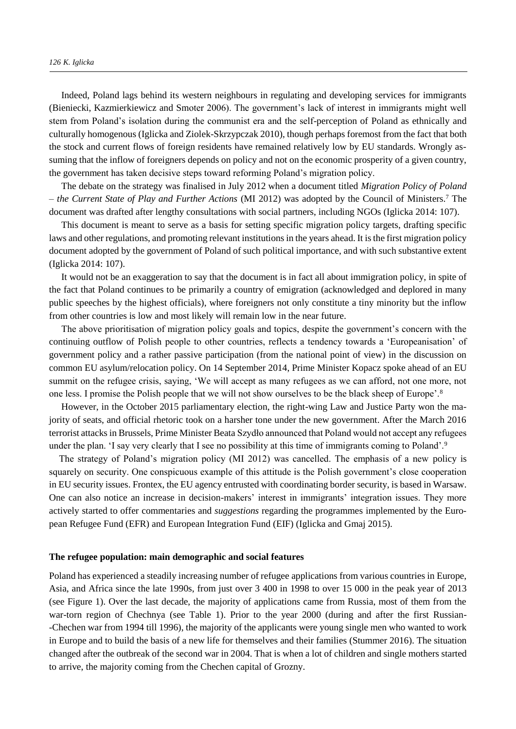Indeed, Poland lags behind its western neighbours in regulating and developing services for immigrants (Bieniecki, Kazmierkiewicz and Smoter 2006). The government's lack of interest in immigrants might well stem from Poland's isolation during the communist era and the self-perception of Poland as ethnically and culturally homogenous (Iglicka and Ziolek-Skrzypczak 2010), though perhaps foremost from the fact that both the stock and current flows of foreign residents have remained relatively low by EU standards. Wrongly assuming that the inflow of foreigners depends on policy and not on the economic prosperity of a given country, the government has taken decisive steps toward reforming Poland's migration policy.

The debate on the strategy was finalised in July 2012 when a document titled *Migration Policy of Poland – the Current State of Play and Further Actions* (MI 2012) was adopted by the Council of Ministers.<sup>7</sup> The document was drafted after lengthy consultations with social partners, including NGOs (Iglicka 2014: 107).

This document is meant to serve as a basis for setting specific migration policy targets, drafting specific laws and other regulations, and promoting relevant institutions in the years ahead. It is the first migration policy document adopted by the government of Poland of such political importance, and with such substantive extent (Iglicka 2014: 107).

It would not be an exaggeration to say that the document is in fact all about immigration policy, in spite of the fact that Poland continues to be primarily a country of emigration (acknowledged and deplored in many public speeches by the highest officials), where foreigners not only constitute a tiny minority but the inflow from other countries is low and most likely will remain low in the near future.

The above prioritisation of migration policy goals and topics, despite the government's concern with the continuing outflow of Polish people to other countries, reflects a tendency towards a 'Europeanisation' of government policy and a rather passive participation (from the national point of view) in the discussion on common EU asylum/relocation policy. On 14 September 2014, Prime Minister Kopacz spoke ahead of an EU summit on the refugee crisis, saying, 'We will accept as many refugees as we can afford, not one more, not one less. I promise the Polish people that we will not show ourselves to be the black sheep of Europe'.<sup>8</sup>

However, in the October 2015 parliamentary election, the right-wing Law and Justice Party won the majority of seats, and official rhetoric took on a harsher tone under the new government. After the March 2016 terrorist attacks in Brussels, Prime Minister Beata Szydło announced that Poland would not accept any refugees under the plan. 'I say very clearly that I see no possibility at this time of immigrants coming to Poland'.<sup>9</sup>

The strategy of Poland's migration policy (MI 2012) was cancelled. The emphasis of a new policy is squarely on security. One conspicuous example of this attitude is the Polish government's close cooperation in EU security issues. Frontex, the EU agency entrusted with coordinating border security, is based in Warsaw. One can also notice an increase in decision-makers' interest in immigrants' integration issues. They more actively started to offer commentaries and *suggestions* regarding the programmes implemented by the European Refugee Fund (EFR) and European Integration Fund (EIF) (Iglicka and Gmaj 2015).

#### **The refugee population: main demographic and social features**

Poland has experienced a steadily increasing number of refugee applications from various countries in Europe, Asia, and Africa since the late 1990s, from just over 3 400 in 1998 to over 15 000 in the peak year of 2013 (see Figure 1). Over the last decade, the majority of applications came from Russia, most of them from the war-torn region of Chechnya (see Table 1). Prior to the year 2000 (during and after the first Russian- -Chechen war from 1994 till 1996), the majority of the applicants were young single men who wanted to work in Europe and to build the basis of a new life for themselves and their families (Stummer 2016). The situation changed after the outbreak of the second war in 2004. That is when a lot of children and single mothers started to arrive, the majority coming from the Chechen capital of Grozny.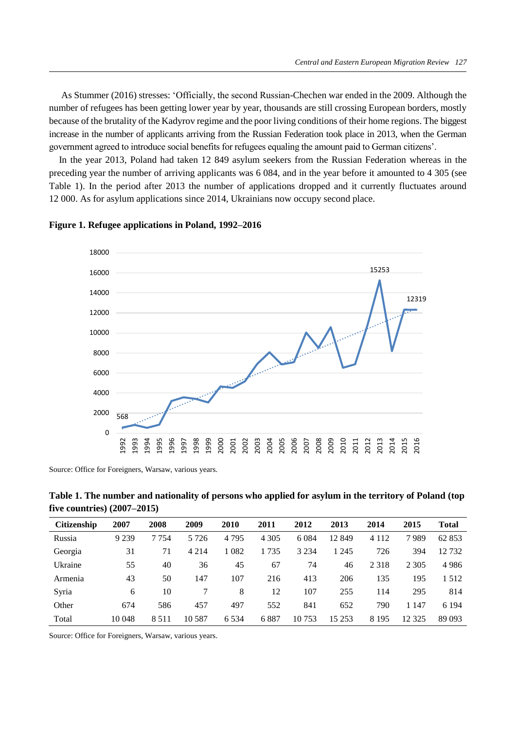As Stummer (2016) stresses: 'Officially, the second Russian-Chechen war ended in the 2009. Although the number of refugees has been getting lower year by year, thousands are still crossing European borders, mostly because of the brutality of the Kadyrov regime and the poor living conditions of their home regions. The biggest increase in the number of applicants arriving from the Russian Federation took place in 2013, when the German government agreed to introduce social benefits for refugees equaling the amount paid to German citizens'.

In the year 2013, Poland had taken 12 849 asylum seekers from the Russian Federation whereas in the preceding year the number of arriving applicants was 6 084, and in the year before it amounted to 4 305 (see Table 1). In the period after 2013 the number of applications dropped and it currently fluctuates around 12 000. As for asylum applications since 2014, Ukrainians now occupy second place.



**Figure 1. Refugee applications in Poland, 1992–2016** 

Source: Office for Foreigners, Warsaw, various years.

**Table 1. The number and nationality of persons who applied for asylum in the territory of Poland (top five countries) (2007–2015)**

| <b>Citizenship</b> | 2007    | 2008    | 2009     | 2010    | 2011    | 2012    | 2013    | 2014    | 2015    | <b>Total</b> |
|--------------------|---------|---------|----------|---------|---------|---------|---------|---------|---------|--------------|
| Russia             | 9 2 3 9 | 7754    | 5 7 2 6  | 4 7 9 5 | 4 3 0 5 | 6 0 8 4 | 12849   | 4 1 1 2 | 7989    | 62 853       |
| Georgia            | 31      | 71      | 4 2 1 4  | 1 0 8 2 | 1735    | 3 2 3 4 | 1 2 4 5 | 726     | 394     | 12732        |
| Ukraine            | 55      | 40      | 36       | 45      | 67      | 74      | 46      | 2 3 1 8 | 2 3 0 5 | 4986         |
| Armenia            | 43      | 50      | 147      | 107     | 216     | 413     | 206     | 135     | 195     | 1512         |
| Syria              | 6       | 10      |          | 8       | 12      | 107     | 255     | 114     | 295     | 814          |
| Other              | 674     | 586     | 457      | 497     | 552     | 841     | 652     | 790     | 1 1 4 7 | 6 1 9 4      |
| Total              | 10 048  | 8 5 1 1 | 10 5 8 7 | 6 5 3 4 | 6887    | 10 753  | 15 253  | 8 1 9 5 | 12 3 25 | 89 093       |

Source: Office for Foreigners, Warsaw, various years.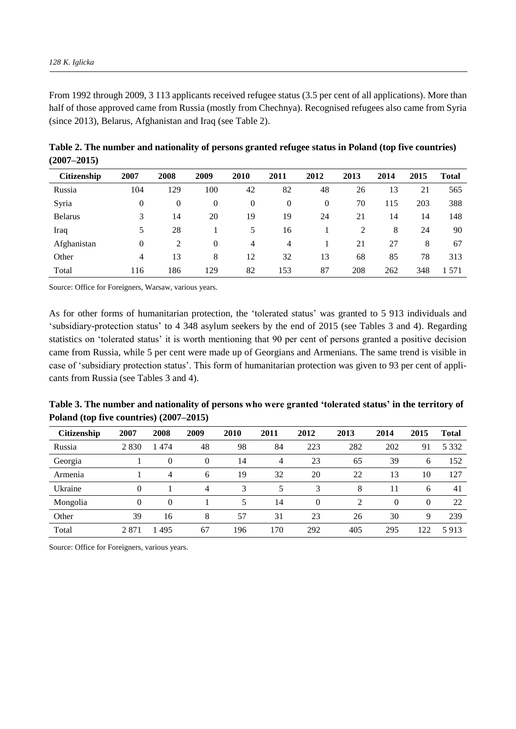From 1992 through 2009, 3 113 applicants received refugee status (3.5 per cent of all applications). More than half of those approved came from Russia (mostly from Chechnya). Recognised refugees also came from Syria (since 2013), Belarus, Afghanistan and Iraq (see Table 2).

| <b>Citizenship</b> | 2007     | 2008     | 2009     | 2010 | 2011     | 2012     | 2013 | 2014 | 2015 | <b>Total</b> |
|--------------------|----------|----------|----------|------|----------|----------|------|------|------|--------------|
| Russia             | 104      | 129      | 100      | 42   | 82       | 48       | 26   | 13   | 21   | 565          |
| Syria              | $\theta$ | $\theta$ | $\theta$ | 0    | $\theta$ | $\theta$ | 70   | 115  | 203  | 388          |
| <b>Belarus</b>     | 3        | 14       | 20       | 19   | 19       | 24       | 21   | 14   | 14   | 148          |
| Iraq               | 5        | 28       |          | 5    | 16       |          | 2    | 8    | 24   | 90           |
| Afghanistan        | $\theta$ | 2        | $\theta$ | 4    | 4        |          | 21   | 27   | 8    | 67           |
| Other              | 4        | 13       | 8        | 12   | 32       | 13       | 68   | 85   | 78   | 313          |
| Total              | 116      | 186      | 129      | 82   | 153      | 87       | 208  | 262  | 348  | 1 571        |

**Table 2. The number and nationality of persons granted refugee status in Poland (top five countries) (2007–2015)**

Source: Office for Foreigners, Warsaw, various years.

As for other forms of humanitarian protection, the 'tolerated status' was granted to 5 913 individuals and 'subsidiary-protection status' to 4 348 asylum seekers by the end of 2015 (see Tables 3 and 4). Regarding statistics on 'tolerated status' it is worth mentioning that 90 per cent of persons granted a positive decision came from Russia, while 5 per cent were made up of Georgians and Armenians. The same trend is visible in case of 'subsidiary protection status'. This form of humanitarian protection was given to 93 per cent of applicants from Russia (see Tables 3 and 4).

| Table 3. The number and nationality of persons who were granted 'tolerated status' in the territory of |  |
|--------------------------------------------------------------------------------------------------------|--|
| Poland (top five countries) (2007–2015)                                                                |  |

| <b>Citizenship</b> | 2007 | 2008     | 2009 | 2010 | 2011 | 2012 | 2013 | 2014     | 2015     | Total   |
|--------------------|------|----------|------|------|------|------|------|----------|----------|---------|
| Russia             | 2830 | 1474     | 48   | 98   | 84   | 223  | 282  | 202      | 91       | 5 3 3 2 |
| Georgia            |      | $\Omega$ | 0    | 14   | 4    | 23   | 65   | 39       | 6        | 152     |
| Armenia            |      | 4        | 6    | 19   | 32   | 20   | 22   | 13       | 10       | 127     |
| Ukraine            | 0    |          | 4    | 3    | 5    | 3    | 8    |          | 6        | 41      |
| Mongolia           | 0    | $\Omega$ |      |      | 14   | 0    | 2    | $\theta$ | $\Omega$ | 22      |
| Other              | 39   | 16       | 8    | 57   | 31   | 23   | 26   | 30       | 9        | 239     |
| Total              | 2871 | 1495     | 67   | 196  | 170  | 292  | 405  | 295      | 122      | 5913    |

Source: Office for Foreigners, various years.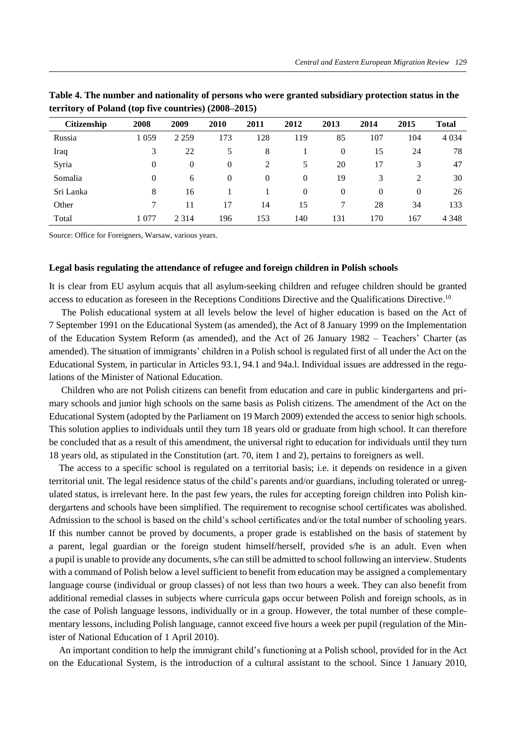| <b>Citizenship</b> | 2008     | 2009     | 2010     | 2011 | 2012     | 2013           | 2014     | 2015     | <b>Total</b> |
|--------------------|----------|----------|----------|------|----------|----------------|----------|----------|--------------|
| Russia             | 1 0 5 9  | 2 2 5 9  | 173      | 128  | 119      | 85             | 107      | 104      | 4 0 34       |
| Iraq               | 3        | 22       | 5        | 8    |          | $\overline{0}$ | 15       | 24       | 78           |
| Syria              | $\Omega$ | $\Omega$ | $\theta$ | 2    | 5        | 20             | 17       | 3        | 47           |
| Somalia            | $\theta$ | 6        | $\theta$ | 0    | 0        | 19             | 3        | 2        | 30           |
| Sri Lanka          | 8        | 16       |          |      | $\theta$ | $\overline{0}$ | $\Omega$ | $\theta$ | 26           |
| Other              |          | 11       | 17       | 14   | 15       |                | 28       | 34       | 133          |
| Total              | 1 077    | 2 3 1 4  | 196      | 153  | 140      | 131            | 170      | 167      | 4 3 4 8      |

**Table 4. The number and nationality of persons who were granted subsidiary protection status in the territory of Poland (top five countries) (2008–2015)**

Source: Office for Foreigners, Warsaw, various years.

#### **Legal basis regulating the attendance of refugee and foreign children in Polish schools**

It is clear from EU asylum acquis that all asylum-seeking children and refugee children should be granted access to education as foreseen in the Receptions Conditions Directive and the Qualifications Directive.<sup>10</sup>

The Polish educational system at all levels below the level of higher education is based on the Act of 7 September 1991 on the Educational System (as amended), the Act of 8 January 1999 on the Implementation of the Education System Reform (as amended), and the Act of 26 January 1982 – Teachers' Charter (as amended). The situation of immigrants' children in a Polish school is regulated first of all under the Act on the Educational System, in particular in Articles 93.1, 94.1 and 94a.l. Individual issues are addressed in the regulations of the Minister of National Education.

Children who are not Polish citizens can benefit from education and care in public kindergartens and primary schools and junior high schools on the same basis as Polish citizens. The amendment of the Act on the Educational System (adopted by the Parliament on 19 March 2009) extended the access to senior high schools. This solution applies to individuals until they turn 18 years old or graduate from high school. It can therefore be concluded that as a result of this amendment, the universal right to education for individuals until they turn 18 years old, as stipulated in the Constitution (art. 70, item 1 and 2), pertains to foreigners as well.

The access to a specific school is regulated on a territorial basis; i.e. it depends on residence in a given territorial unit. The legal residence status of the child's parents and/or guardians, including tolerated or unregulated status, is irrelevant here. In the past few years, the rules for accepting foreign children into Polish kindergartens and schools have been simplified. The requirement to recognise school certificates was abolished. Admission to the school is based on the child's school certificates and/or the total number of schooling years. If this number cannot be proved by documents, a proper grade is established on the basis of statement by a parent, legal guardian or the foreign student himself/herself, provided s/he is an adult. Even when a pupil is unable to provide any documents, s/he can still be admitted to school following an interview. Students with a command of Polish below a level sufficient to benefit from education may be assigned a complementary language course (individual or group classes) of not less than two hours a week. They can also benefit from additional remedial classes in subjects where curricula gaps occur between Polish and foreign schools, as in the case of Polish language lessons, individually or in a group. However, the total number of these complementary lessons, including Polish language, cannot exceed five hours a week per pupil (regulation of the Minister of National Education of 1 April 2010).

An important condition to help the immigrant child's functioning at a Polish school, provided for in the Act on the Educational System, is the introduction of a cultural assistant to the school. Since 1 January 2010,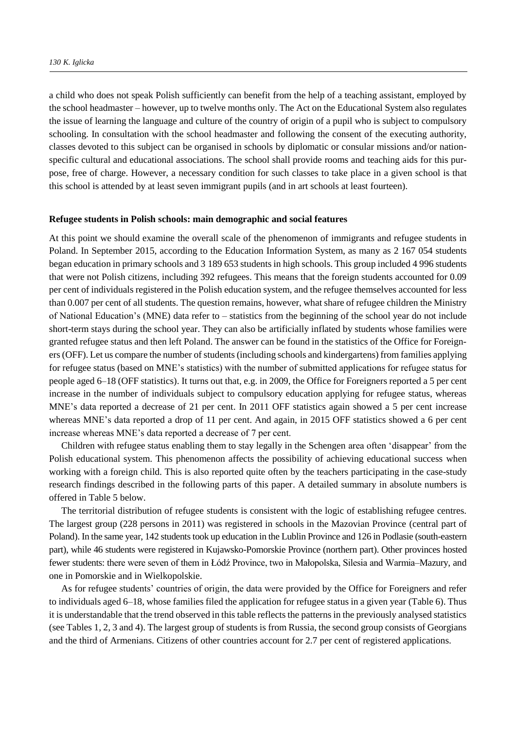a child who does not speak Polish sufficiently can benefit from the help of a teaching assistant, employed by the school headmaster – however, up to twelve months only. The Act on the Educational System also regulates the issue of learning the language and culture of the country of origin of a pupil who is subject to compulsory schooling. In consultation with the school headmaster and following the consent of the executing authority, classes devoted to this subject can be organised in schools by diplomatic or consular missions and/or nationspecific cultural and educational associations. The school shall provide rooms and teaching aids for this purpose, free of charge. However, a necessary condition for such classes to take place in a given school is that this school is attended by at least seven immigrant pupils (and in art schools at least fourteen).

## **Refugee students in Polish schools: main demographic and social features**

At this point we should examine the overall scale of the phenomenon of immigrants and refugee students in Poland. In September 2015, according to the Education Information System, as many as 2 167 054 students began education in primary schools and 3 189 653 students in high schools. This group included 4 996 students that were not Polish citizens, including 392 refugees. This means that the foreign students accounted for 0.09 per cent of individuals registered in the Polish education system, and the refugee themselves accounted for less than 0.007 per cent of all students. The question remains, however, what share of refugee children the Ministry of National Education's (MNE) data refer to – statistics from the beginning of the school year do not include short-term stays during the school year. They can also be artificially inflated by students whose families were granted refugee status and then left Poland. The answer can be found in the statistics of the Office for Foreigners(OFF). Let us compare the number of students (including schools and kindergartens) from families applying for refugee status (based on MNE's statistics) with the number of submitted applications for refugee status for people aged 6–18 (OFF statistics). It turns out that, e.g. in 2009, the Office for Foreigners reported a 5 per cent increase in the number of individuals subject to compulsory education applying for refugee status, whereas MNE's data reported a decrease of 21 per cent. In 2011 OFF statistics again showed a 5 per cent increase whereas MNE's data reported a drop of 11 per cent. And again, in 2015 OFF statistics showed a 6 per cent increase whereas MNE's data reported a decrease of 7 per cent.

Children with refugee status enabling them to stay legally in the Schengen area often 'disappear' from the Polish educational system. This phenomenon affects the possibility of achieving educational success when working with a foreign child. This is also reported quite often by the teachers participating in the case-study research findings described in the following parts of this paper. A detailed summary in absolute numbers is offered in Table 5 below.

The territorial distribution of refugee students is consistent with the logic of establishing refugee centres. The largest group (228 persons in 2011) was registered in schools in the Mazovian Province (central part of Poland). In the same year, 142 students took up education in the Lublin Province and 126 in Podlasie (south-eastern part), while 46 students were registered in Kujawsko-Pomorskie Province (northern part). Other provinces hosted fewer students: there were seven of them in Łódź Province, two in Małopolska, Silesia and Warmia–Mazury, and one in Pomorskie and in Wielkopolskie.

As for refugee students' countries of origin, the data were provided by the Office for Foreigners and refer to individuals aged 6–18, whose families filed the application for refugee status in a given year (Table 6). Thus it is understandable that the trend observed in this table reflects the patterns in the previously analysed statistics (see Tables 1, 2, 3 and 4). The largest group of students is from Russia, the second group consists of Georgians and the third of Armenians. Citizens of other countries account for 2.7 per cent of registered applications.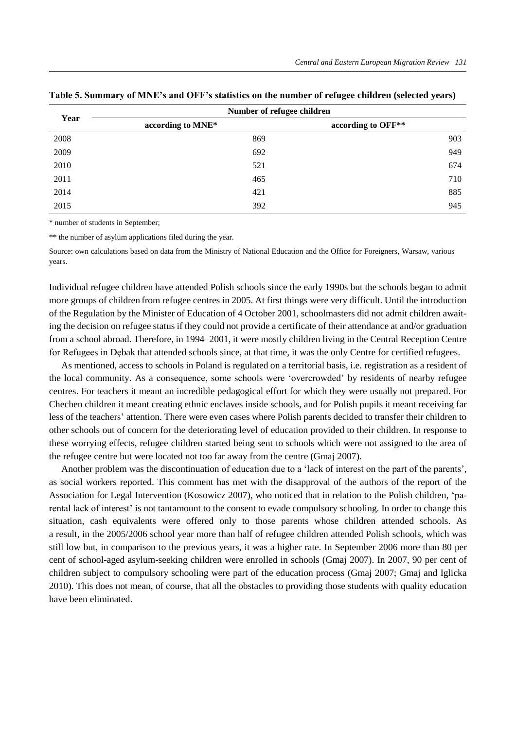|      | Number of refugee children |                    |
|------|----------------------------|--------------------|
| Year | according to MNE*          | according to OFF** |
| 2008 | 869                        | 903                |
| 2009 | 692                        | 949                |
| 2010 | 521                        | 674                |
| 2011 | 465                        | 710                |
| 2014 | 421                        | 885                |
| 2015 | 392                        | 945                |

|  |  |  | Table 5. Summary of MNE's and OFF's statistics on the number of refugee children (selected years) |  |
|--|--|--|---------------------------------------------------------------------------------------------------|--|
|  |  |  |                                                                                                   |  |

\* number of students in September;

\*\* the number of asylum applications filed during the year.

Source: own calculations based on data from the Ministry of National Education and the Office for Foreigners, Warsaw, various years.

Individual refugee children have attended Polish schools since the early 1990s but the schools began to admit more groups of children from refugee centres in 2005. At first things were very difficult. Until the introduction of the Regulation by the Minister of Education of 4 October 2001, schoolmasters did not admit children awaiting the decision on refugee status if they could not provide a certificate of their attendance at and/or graduation from a school abroad. Therefore, in 1994–2001, it were mostly children living in the Central Reception Centre for Refugees in Dębak that attended schools since, at that time, it was the only Centre for certified refugees.

As mentioned, access to schools in Poland is regulated on a territorial basis, i.e. registration as a resident of the local community. As a consequence, some schools were 'overcrowded' by residents of nearby refugee centres. For teachers it meant an incredible pedagogical effort for which they were usually not prepared. For Chechen children it meant creating ethnic enclaves inside schools, and for Polish pupils it meant receiving far less of the teachers' attention. There were even cases where Polish parents decided to transfer their children to other schools out of concern for the deteriorating level of education provided to their children. In response to these worrying effects, refugee children started being sent to schools which were not assigned to the area of the refugee centre but were located not too far away from the centre (Gmaj 2007).

Another problem was the discontinuation of education due to a 'lack of interest on the part of the parents', as social workers reported. This comment has met with the disapproval of the authors of the report of the Association for Legal Intervention (Kosowicz 2007), who noticed that in relation to the Polish children, 'parental lack of interest' is not tantamount to the consent to evade compulsory schooling. In order to change this situation, cash equivalents were offered only to those parents whose children attended schools. As a result, in the 2005/2006 school year more than half of refugee children attended Polish schools, which was still low but, in comparison to the previous years, it was a higher rate. In September 2006 more than 80 per cent of school-aged asylum-seeking children were enrolled in schools (Gmaj 2007). In 2007, 90 per cent of children subject to compulsory schooling were part of the education process (Gmaj 2007; Gmaj and Iglicka 2010). This does not mean, of course, that all the obstacles to providing those students with quality education have been eliminated.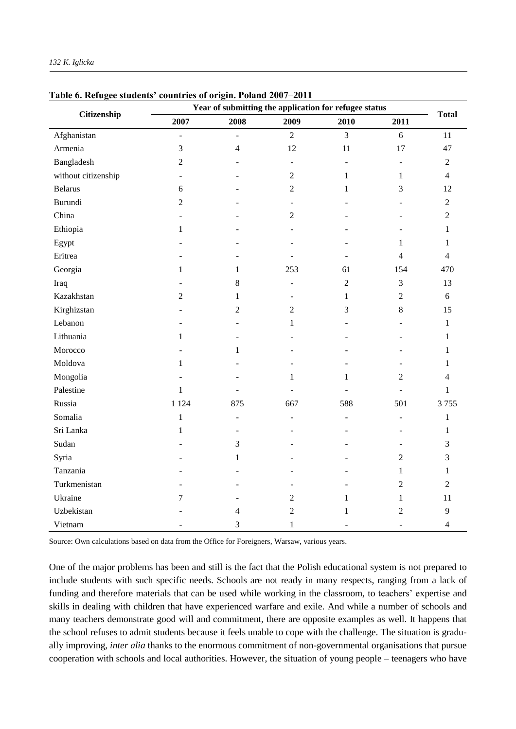| Citizenship         | Year of submitting the application for refugee status |                          |                          |                |                |                |  |  |
|---------------------|-------------------------------------------------------|--------------------------|--------------------------|----------------|----------------|----------------|--|--|
|                     | 2007                                                  | 2008                     | 2009                     | 2010           | 2011           | <b>Total</b>   |  |  |
| Afghanistan         | $\overline{a}$                                        | $\overline{\phantom{a}}$ | $\overline{2}$           | $\overline{3}$ | 6              | 11             |  |  |
| Armenia             | 3                                                     | $\overline{4}$           | 12                       | $11\,$         | 17             | 47             |  |  |
| Bangladesh          | $\overline{2}$                                        |                          | $\overline{\phantom{a}}$ | L.             | L.             | $\overline{2}$ |  |  |
| without citizenship | $\overline{\phantom{0}}$                              |                          | $\overline{2}$           | $\mathbf{1}$   | $\mathbf{1}$   | $\overline{4}$ |  |  |
| <b>Belarus</b>      | 6                                                     |                          | $\overline{c}$           | 1              | 3              | 12             |  |  |
| Burundi             | $\overline{2}$                                        |                          | $\overline{a}$           |                |                | $\overline{2}$ |  |  |
| China               |                                                       |                          | $\overline{c}$           |                |                | $\overline{2}$ |  |  |
| Ethiopia            | $\mathbf{1}$                                          |                          |                          |                |                | $\mathbf{1}$   |  |  |
| Egypt               |                                                       |                          |                          |                | $\mathbf{1}$   | $\mathbf{1}$   |  |  |
| Eritrea             |                                                       |                          |                          |                | $\overline{4}$ | $\overline{4}$ |  |  |
| Georgia             | $\mathbf{1}$                                          | $\mathbf{1}$             | 253                      | 61             | 154            | 470            |  |  |
| Iraq                |                                                       | 8                        | $\overline{a}$           | $\overline{2}$ | 3              | 13             |  |  |
| Kazakhstan          | $\overline{2}$                                        | $\mathbf{1}$             | $\overline{a}$           | $\mathbf{1}$   | $\overline{2}$ | 6              |  |  |
| Kirghizstan         |                                                       | $\overline{2}$           | $\overline{2}$           | 3              | 8              | 15             |  |  |
| Lebanon             |                                                       |                          | $\mathbf{1}$             |                |                | $\mathbf{1}$   |  |  |
| Lithuania           | $\mathbf{1}$                                          |                          |                          |                |                | $\mathbf{1}$   |  |  |
| Morocco             |                                                       | $\mathbf{1}$             |                          |                |                | $\mathbf{1}$   |  |  |
| Moldova             | $\mathbf{1}$                                          |                          |                          |                |                | $\mathbf{1}$   |  |  |
| Mongolia            |                                                       |                          | $\mathbf{1}$             | $\mathbf{1}$   | $\overline{2}$ | $\overline{4}$ |  |  |
| Palestine           | $\mathbf{1}$                                          |                          |                          |                |                | $\mathbf{1}$   |  |  |
| Russia              | 1 1 2 4                                               | 875                      | 667                      | 588            | 501            | 3755           |  |  |
| Somalia             | $\mathbf{1}$                                          | $\overline{a}$           | $\overline{a}$           | ÷,             | L.             | $\mathbf{1}$   |  |  |
| Sri Lanka           | $\mathbf{1}$                                          | $\sim$                   |                          |                |                | 1              |  |  |
| Sudan               |                                                       | 3                        |                          |                |                | 3              |  |  |
| Syria               |                                                       | $\mathbf{1}$             |                          |                | $\overline{2}$ | 3              |  |  |
| Tanzania            |                                                       |                          |                          |                | $\mathbf{1}$   | $\mathbf{1}$   |  |  |
| Turkmenistan        |                                                       |                          |                          |                | $\overline{2}$ | $\overline{2}$ |  |  |
| Ukraine             | 7                                                     |                          | $\mathfrak{2}$           | $\mathbf{1}$   | $\mathbf{1}$   | 11             |  |  |
| Uzbekistan          |                                                       | 4                        | $\overline{c}$           | $\mathbf{1}$   | $\overline{2}$ | 9              |  |  |
| Vietnam             |                                                       | 3                        | $\mathbf{1}$             | $\sim$         | $\sim$         | $\overline{4}$ |  |  |

#### **Table 6. Refugee students' countries of origin. Poland 2007–2011**

Source: Own calculations based on data from the Office for Foreigners, Warsaw, various years.

One of the major problems has been and still is the fact that the Polish educational system is not prepared to include students with such specific needs. Schools are not ready in many respects, ranging from a lack of funding and therefore materials that can be used while working in the classroom, to teachers' expertise and skills in dealing with children that have experienced warfare and exile. And while a number of schools and many teachers demonstrate good will and commitment, there are opposite examples as well. It happens that the school refuses to admit students because it feels unable to cope with the challenge. The situation is gradually improving, *inter alia* thanks to the enormous commitment of non-governmental organisations that pursue cooperation with schools and local authorities. However, the situation of young people – teenagers who have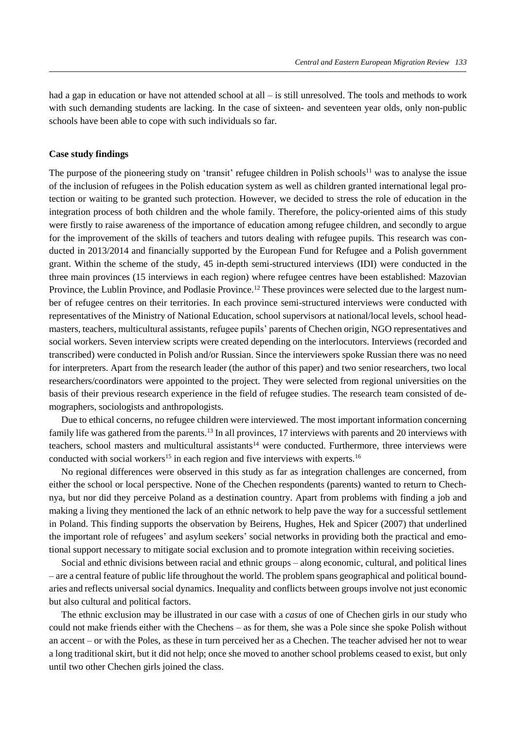had a gap in education or have not attended school at all – is still unresolved. The tools and methods to work with such demanding students are lacking. In the case of sixteen- and seventeen year olds, only non-public schools have been able to cope with such individuals so far.

# **Case study findings**

The purpose of the pioneering study on 'transit' refugee children in Polish schools<sup>11</sup> was to analyse the issue of the inclusion of refugees in the Polish education system as well as children granted international legal protection or waiting to be granted such protection. However, we decided to stress the role of education in the integration process of both children and the whole family. Therefore, the policy-oriented aims of this study were firstly to raise awareness of the importance of education among refugee children, and secondly to argue for the improvement of the skills of teachers and tutors dealing with refugee pupils. This research was conducted in 2013/2014 and financially supported by the European Fund for Refugee and a Polish government grant. Within the scheme of the study, 45 in-depth semi-structured interviews (IDI) were conducted in the three main provinces (15 interviews in each region) where refugee centres have been established: Mazovian Province, the Lublin Province, and Podlasie Province.<sup>12</sup> These provinces were selected due to the largest number of refugee centres on their territories. In each province semi-structured interviews were conducted with representatives of the Ministry of National Education, school supervisors at national/local levels, school headmasters, teachers, multicultural assistants, refugee pupils' parents of Chechen origin, NGO representatives and social workers. Seven interview scripts were created depending on the interlocutors. Interviews (recorded and transcribed) were conducted in Polish and/or Russian. Since the interviewers spoke Russian there was no need for interpreters. Apart from the research leader (the author of this paper) and two senior researchers, two local researchers/coordinators were appointed to the project. They were selected from regional universities on the basis of their previous research experience in the field of refugee studies. The research team consisted of demographers, sociologists and anthropologists.

Due to ethical concerns, no refugee children were interviewed. The most important information concerning family life was gathered from the parents.<sup>13</sup> In all provinces, 17 interviews with parents and 20 interviews with teachers, school masters and multicultural assistants<sup>14</sup> were conducted. Furthermore, three interviews were conducted with social workers<sup>15</sup> in each region and five interviews with experts.<sup>16</sup>

No regional differences were observed in this study as far as integration challenges are concerned, from either the school or local perspective. None of the Chechen respondents (parents) wanted to return to Chechnya, but nor did they perceive Poland as a destination country. Apart from problems with finding a job and making a living they mentioned the lack of an ethnic network to help pave the way for a successful settlement in Poland. This finding supports the observation by Beirens, Hughes, Hek and Spicer (2007) that underlined the important role of refugees' and asylum seekers' social networks in providing both the practical and emotional support necessary to mitigate social exclusion and to promote integration within receiving societies.

Social and ethnic divisions between racial and ethnic groups – along economic, cultural, and political lines – are a central feature of public life throughout the world. The problem spans geographical and political boundaries and reflects universal social dynamics. Inequality and conflicts between groups involve not just economic but also cultural and political factors.

The ethnic exclusion may be illustrated in our case with a *casus* of one of Chechen girls in our study who could not make friends either with the Chechens – as for them, she was a Pole since she spoke Polish without an accent – or with the Poles, as these in turn perceived her as a Chechen. The teacher advised her not to wear a long traditional skirt, but it did not help; once she moved to another school problems ceased to exist, but only until two other Chechen girls joined the class.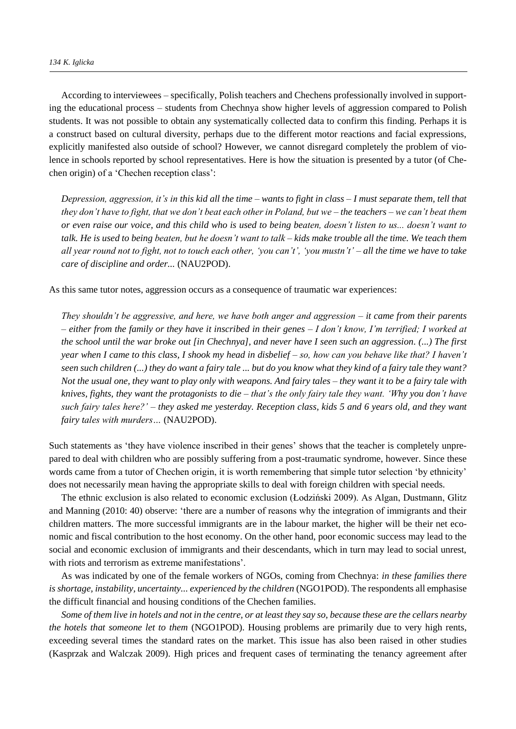According to interviewees – specifically, Polish teachers and Chechens professionally involved in supporting the educational process – students from Chechnya show higher levels of aggression compared to Polish students. It was not possible to obtain any systematically collected data to confirm this finding. Perhaps it is a construct based on cultural diversity, perhaps due to the different motor reactions and facial expressions, explicitly manifested also outside of school? However, we cannot disregard completely the problem of violence in schools reported by school representatives. Here is how the situation is presented by a tutor (of Chechen origin) of a 'Chechen reception class':

*Depression, aggression, it's in this kid all the time – wants to fight in class – I must separate them, tell that they don't have to fight, that we don't beat each other in Poland, but we – the teachers – we can't beat them or even raise our voice, and this child who is used to being beaten, doesn't listen to us... doesn't want to talk. He is used to being beaten, but he doesn't want to talk – kids make trouble all the time. We teach them all year round not to fight, not to touch each other, 'you can't', 'you mustn't' – all the time we have to take care of discipline and order...* (NAU2POD).

As this same tutor notes, aggression occurs as a consequence of traumatic war experiences:

*They shouldn't be aggressive, and here, we have both anger and aggression – it came from their parents – either from the family or they have it inscribed in their genes – I don't know, I'm terrified; I worked at the school until the war broke out [in Chechnya], and never have I seen such an aggression. (...) The first year when I came to this class, I shook my head in disbelief – so, how can you behave like that? I haven't seen such children (...) they do want a fairy tale ... but do you know what they kind of a fairy tale they want? Not the usual one, they want to play only with weapons. And fairy tales – they want it to be a fairy tale with knives, fights, they want the protagonists to die – that's the only fairy tale they want. 'Why you don't have such fairy tales here?' – they asked me yesterday. Reception class, kids 5 and 6 years old, and they want fairy tales with murders…* (NAU2POD).

Such statements as 'they have violence inscribed in their genes' shows that the teacher is completely unprepared to deal with children who are possibly suffering from a post-traumatic syndrome, however. Since these words came from a tutor of Chechen origin, it is worth remembering that simple tutor selection 'by ethnicity' does not necessarily mean having the appropriate skills to deal with foreign children with special needs.

The ethnic exclusion is also related to economic exclusion (Łodziński 2009). As Algan, Dustmann, Glitz and Manning (2010: 40) observe: 'there are a number of reasons why the integration of immigrants and their children matters. The more successful immigrants are in the labour market, the higher will be their net economic and fiscal contribution to the host economy. On the other hand, poor economic success may lead to the social and economic exclusion of immigrants and their descendants, which in turn may lead to social unrest, with riots and terrorism as extreme manifestations'.

As was indicated by one of the female workers of NGOs, coming from Chechnya: *in these families there is shortage, instability, uncertainty... experienced by the children* (NGO1POD). The respondents all emphasise the difficult financial and housing conditions of the Chechen families.

*Some of them live in hotels and not in the centre, or at least they say so, because these are the cellars nearby the hotels that someone let to them* (NGO1POD). Housing problems are primarily due to very high rents, exceeding several times the standard rates on the market. This issue has also been raised in other studies (Kasprzak and Walczak 2009). High prices and frequent cases of terminating the tenancy agreement after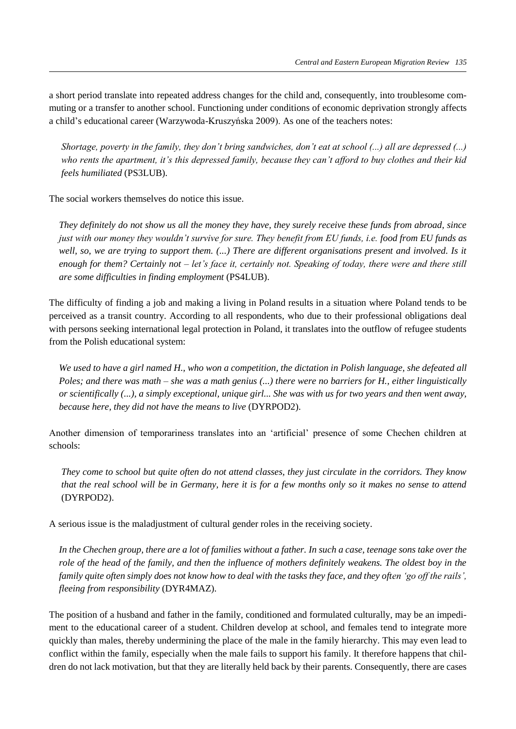a short period translate into repeated address changes for the child and, consequently, into troublesome commuting or a transfer to another school. Functioning under conditions of economic deprivation strongly affects a child's educational career (Warzywoda-Kruszyńska 2009). As one of the teachers notes:

*Shortage, poverty in the family, they don't bring sandwiches, don't eat at school (...) all are depressed (...) who rents the apartment, it's this depressed family, because they can't afford to buy clothes and their kid feels humiliated* (PS3LUB).

The social workers themselves do notice this issue.

*They definitely do not show us all the money they have, they surely receive these funds from abroad, since just with our money they wouldn't survive for sure. They benefit from EU funds, i.e. food from EU funds as*  well, so, we are trying to support them. (...) There are different organisations present and involved. Is it *enough for them? Certainly not – let's face it, certainly not. Speaking of today, there were and there still are some difficulties in finding employment* (PS4LUB).

The difficulty of finding a job and making a living in Poland results in a situation where Poland tends to be perceived as a transit country. According to all respondents, who due to their professional obligations deal with persons seeking international legal protection in Poland, it translates into the outflow of refugee students from the Polish educational system:

*We used to have a girl named H., who won a competition, the dictation in Polish language, she defeated all Poles; and there was math – she was a math genius (...) there were no barriers for H., either linguistically or scientifically (...), a simply exceptional, unique girl... She was with us for two years and then went away, because here, they did not have the means to live* (DYRPOD2).

Another dimension of temporariness translates into an 'artificial' presence of some Chechen children at schools:

*They come to school but quite often do not attend classes, they just circulate in the corridors. They know that the real school will be in Germany, here it is for a few months only so it makes no sense to attend*  (DYRPOD2).

A serious issue is the maladjustment of cultural gender roles in the receiving society.

*In the Chechen group, there are a lot of families without a father. In such a case, teenage sons take over the role of the head of the family, and then the influence of mothers definitely weakens. The oldest boy in the family quite often simply does not know how to deal with the tasks they face, and they often 'go off the rails', fleeing from responsibility* (DYR4MAZ).

The position of a husband and father in the family, conditioned and formulated culturally, may be an impediment to the educational career of a student. Children develop at school, and females tend to integrate more quickly than males, thereby undermining the place of the male in the family hierarchy. This may even lead to conflict within the family, especially when the male fails to support his family. It therefore happens that children do not lack motivation, but that they are literally held back by their parents. Consequently, there are cases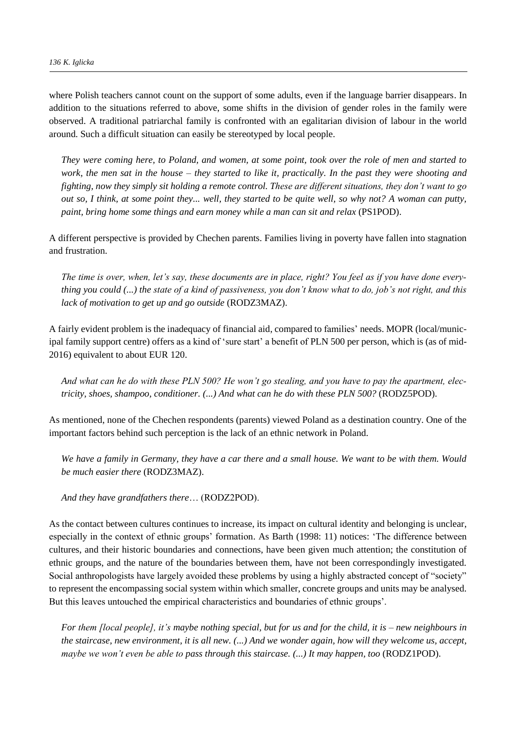where Polish teachers cannot count on the support of some adults, even if the language barrier disappears. In addition to the situations referred to above, some shifts in the division of gender roles in the family were observed. A traditional patriarchal family is confronted with an egalitarian division of labour in the world around. Such a difficult situation can easily be stereotyped by local people.

*They were coming here, to Poland, and women, at some point, took over the role of men and started to work, the men sat in the house – they started to like it, practically. In the past they were shooting and fighting, now they simply sit holding a remote control. These are different situations, they don't want to go out so, I think, at some point they... well, they started to be quite well, so why not? A woman can putty, paint, bring home some things and earn money while a man can sit and relax* (PS1POD).

A different perspective is provided by Chechen parents. Families living in poverty have fallen into stagnation and frustration.

*The time is over, when, let's say, these documents are in place, right? You feel as if you have done everything you could (...) the state of a kind of passiveness, you don't know what to do, job's not right, and this lack of motivation to get up and go outside* (RODZ3MAZ).

A fairly evident problem is the inadequacy of financial aid, compared to families' needs. MOPR (local/municipal family support centre) offers as a kind of 'sure start' a benefit of PLN 500 per person, which is (as of mid-2016) equivalent to about EUR 120.

*And what can he do with these PLN 500? He won't go stealing, and you have to pay the apartment, electricity, shoes, shampoo, conditioner. (...) And what can he do with these PLN 500?* (RODZ5POD).

As mentioned, none of the Chechen respondents (parents) viewed Poland as a destination country. One of the important factors behind such perception is the lack of an ethnic network in Poland.

*We have a family in Germany, they have a car there and a small house. We want to be with them. Would be much easier there* (RODZ3MAZ).

*And they have grandfathers there*… (RODZ2POD).

As the contact between cultures continues to increase, its impact on cultural identity and belonging is unclear, especially in the context of ethnic groups' formation. As Barth (1998: 11) notices: 'The difference between cultures, and their historic boundaries and connections, have been given much attention; the constitution of ethnic groups, and the nature of the boundaries between them, have not been correspondingly investigated. Social anthropologists have largely avoided these problems by using a highly abstracted concept of "society" to represent the encompassing social system within which smaller, concrete groups and units may be analysed. But this leaves untouched the empirical characteristics and boundaries of ethnic groups'.

*For them [local people], it's maybe nothing special, but for us and for the child, it is – new neighbours in the staircase, new environment, it is all new. (...) And we wonder again, how will they welcome us, accept, maybe we won't even be able to pass through this staircase. (...) It may happen, too* (RODZ1POD).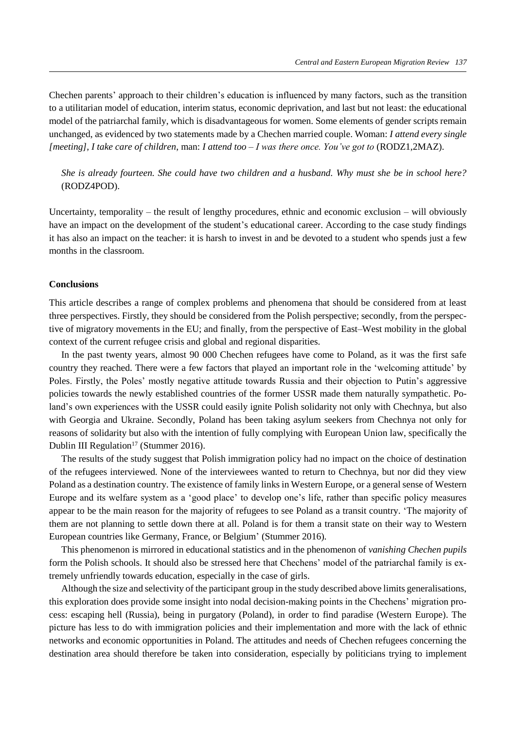Chechen parents' approach to their children's education is influenced by many factors, such as the transition to a utilitarian model of education, interim status, economic deprivation, and last but not least: the educational model of the patriarchal family, which is disadvantageous for women. Some elements of gender scripts remain unchanged, as evidenced by two statements made by a Chechen married couple. Woman: *I attend every single [meeting], I take care of children*, man: *I attend too – I was there once. You've got to* (RODZ1,2MAZ).

*She is already fourteen. She could have two children and a husband. Why must she be in school here?*  (RODZ4POD).

Uncertainty, temporality – the result of lengthy procedures, ethnic and economic exclusion – will obviously have an impact on the development of the student's educational career. According to the case study findings it has also an impact on the teacher: it is harsh to invest in and be devoted to a student who spends just a few months in the classroom.

## **Conclusions**

This article describes a range of complex problems and phenomena that should be considered from at least three perspectives. Firstly, they should be considered from the Polish perspective; secondly, from the perspective of migratory movements in the EU; and finally, from the perspective of East–West mobility in the global context of the current refugee crisis and global and regional disparities.

In the past twenty years, almost 90 000 Chechen refugees have come to Poland, as it was the first safe country they reached. There were a few factors that played an important role in the 'welcoming attitude' by Poles. Firstly, the Poles' mostly negative attitude towards Russia and their objection to Putin's aggressive policies towards the newly established countries of the former USSR made them naturally sympathetic. Poland's own experiences with the USSR could easily ignite Polish solidarity not only with Chechnya, but also with Georgia and Ukraine. Secondly, Poland has been taking asylum seekers from Chechnya not only for reasons of solidarity but also with the intention of fully complying with European Union law, specifically the Dublin III Regulation<sup>17</sup> (Stummer 2016).

The results of the study suggest that Polish immigration policy had no impact on the choice of destination of the refugees interviewed. None of the interviewees wanted to return to Chechnya, but nor did they view Poland as a destination country. The existence of family links in Western Europe, or a general sense of Western Europe and its welfare system as a 'good place' to develop one's life, rather than specific policy measures appear to be the main reason for the majority of refugees to see Poland as a transit country. 'The majority of them are not planning to settle down there at all. Poland is for them a transit state on their way to Western European countries like Germany, France, or Belgium' (Stummer 2016)*.* 

This phenomenon is mirrored in educational statistics and in the phenomenon of *vanishing Chechen pupils* form the Polish schools. It should also be stressed here that Chechens' model of the patriarchal family is extremely unfriendly towards education, especially in the case of girls.

Although the size and selectivity of the participant group in the study described above limits generalisations, this exploration does provide some insight into nodal decision-making points in the Chechens' migration process: escaping hell (Russia), being in purgatory (Poland), in order to find paradise (Western Europe). The picture has less to do with immigration policies and their implementation and more with the lack of ethnic networks and economic opportunities in Poland. The attitudes and needs of Chechen refugees concerning the destination area should therefore be taken into consideration, especially by politicians trying to implement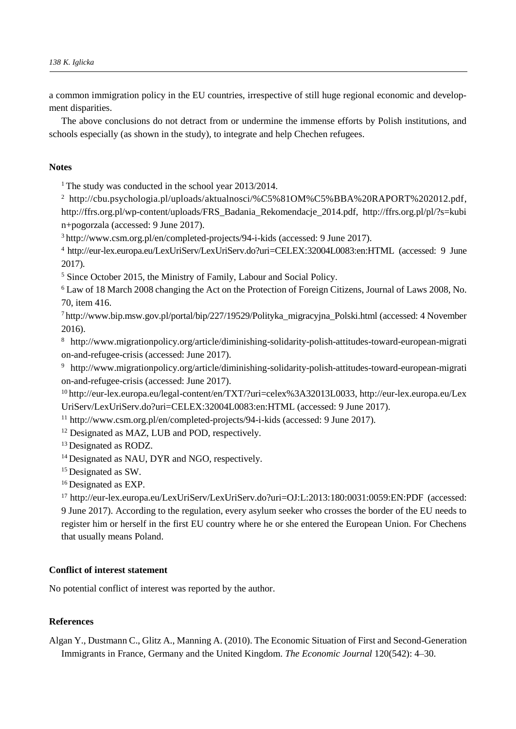a common immigration policy in the EU countries, irrespective of still huge regional economic and development disparities.

The above conclusions do not detract from or undermine the immense efforts by Polish institutions, and schools especially (as shown in the study), to integrate and help Chechen refugees.

# **Notes**

<sup>1</sup> The study was conducted in the school year  $2013/2014$ .

<sup>2</sup> [http://cbu.psychologia.pl/uploads/aktualnosci/%C5%81OM%C5%BBA%20RAPORT%202012.pdf,](http://cbu.psychologia.pl/uploads/aktualnosci/%C5%81OM%C5%BBA%20RAPORT%202012.pdf) http://ffrs.org.pl/wp-content/uploads/FRS\_Badania\_Rekomendacje\_2014.pdf, http://ffrs.org.pl/pl/?s=kubi n+pogorzala (accessed: 9 June 2017).

<sup>3</sup><http://www.csm.org.pl/en/completed-projects/94-i-kids> (accessed: 9 June 2017).

<sup>4</sup><http://eur-lex.europa.eu/LexUriServ/LexUriServ.do?uri=CELEX:32004L0083:en:HTML> (accessed: 9 June 2017).

<sup>5</sup> Since October 2015, the Ministry of Family, Labour and Social Policy.

<sup>6</sup> Law of 18 March 2008 changing the Act on the Protection of Foreign Citizens, Journal of Laws 2008, No. 70, item 416.

<sup>7</sup>http:/[/www.bip.msw.gov.pl/portal/bip/227/19529/Polityka\\_migracyjna\\_Polski.html](http://www.bip.msw.gov.pl/portal/bip/227/19529/Polityka_migracyjna_Polski.html) (accessed: 4 November 2016).

<sup>8</sup>http://www.migrationpolicy.org/article/diminishing-solidarity-polish-attitudes-toward-european-migrati on-and-refugee-crisis (accessed: June 2017).

<sup>9</sup> http://www.migrationpolicy.org/article/diminishing-solidarity-polish-attitudes-toward-european-migrati on-and-refugee-crisis (accessed: June 2017).

<sup>10</sup>[http://eur-lex.europa.eu/legal-content/en/TXT/?uri=celex%3A32013L0033,](http://eur-lex.europa.eu/legal-content/en/TXT/?uri=celex%3A32013L0033) [http://eur-lex.europa.eu/Lex](http://eur-lex.europa.eu/LexUriServ/LexUriServ.do?uri=CELEX:32004L0083:en:HTML) [UriServ/LexUriServ.do?uri=CELEX:32004L0083:en:HTML](http://eur-lex.europa.eu/LexUriServ/LexUriServ.do?uri=CELEX:32004L0083:en:HTML) (accessed: 9 June 2017).

<sup>11</sup> http://www.csm.org.pl/en/completed-projects/94-i-kids (accessed: 9 June 2017).

<sup>12</sup> Designated as MAZ, LUB and POD, respectively.

<sup>13</sup> Designated as RODZ.

<sup>14</sup> Designated as NAU, DYR and NGO, respectively.

<sup>15</sup> Designated as SW.

<sup>16</sup> Designated as EXP.

<sup>17</sup> <http://eur-lex.europa.eu/LexUriServ/LexUriServ.do?uri=OJ:L:2013:180:0031:0059:EN:PDF> (accessed: 9 June 2017). According to the regulation, every asylum seeker who crosses the border of the EU needs to register him or herself in the first EU country where he or she entered the European Union. For Chechens that usually means Poland.

# **Conflict of interest statement**

No potential conflict of interest was reported by the author.

# **References**

Algan Y., Dustmann C., Glitz A., Manning A. (2010). The Economic Situation of First and Second-Generation Immigrants in France, Germany and the United Kingdom. *The Economic Journal* 120(542): 4–30.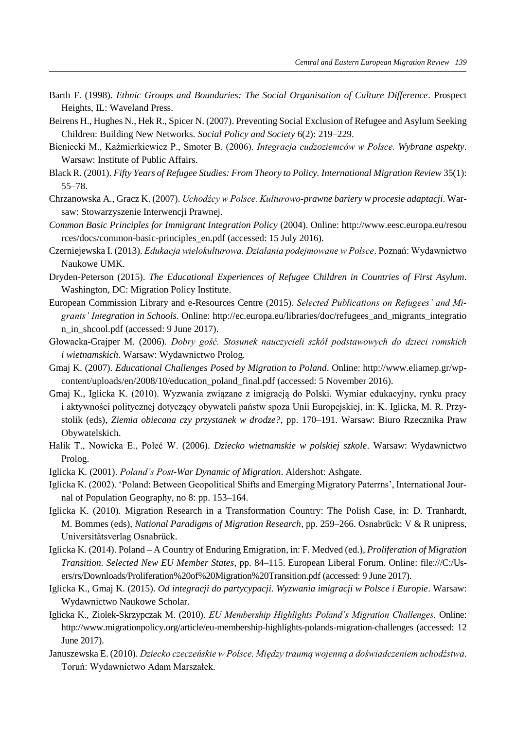- Barth F. (1998). *Ethnic Groups and Boundaries: The Social Organisation of Culture Difference*. Prospect Heights, IL: Waveland Press.
- Beirens H., Hughes N., Hek R., Spicer N. (2007). Preventing Social Exclusion of Refugee and Asylum Seeking Children: Building New Networks. *Social Policy and Society* 6(2): 219–229.
- Bieniecki M., Kaźmierkiewicz P., Smoter B. (2006). *Integracja cudzoziemców w Polsce. Wybrane aspekty*. Warsaw: Institute of Public Affairs.
- Black R. (2001). *Fifty Years of Refugee Studies: From Theory to Policy. International Migration Review* 35(1): 55–78.
- Chrzanowska A., Gracz K. (2007). *Uchodźcy w Polsce. Kulturowo-prawne bariery w procesie adaptacji*. Warsaw: Stowarzyszenie Interwencji Prawnej.
- *Common Basic Principles for Immigrant Integration Policy* (2004). Online: http://www.eesc.europa.eu/resou rces/docs/common-basic-principles\_en.pdf (accessed: 15 July 2016).
- Czerniejewska I. (2013). *Edukacja wielokulturowa. Działania podejmowane w Polsce*. Poznań: Wydawnictwo Naukowe UMK.
- Dryden-Peterson (2015). *The Educational Experiences of Refugee Children in Countries of First Asylum*. Washington, DC: Migration Policy Institute.
- European Commission Library and e-Resources Centre (2015). *Selected Publications on Refugees' and Migrants' Integration in Schools*. Online: http://ec.europa.eu/libraries/doc/refugees\_and\_migrants\_integratio n\_in\_shcool.pdf (accessed: 9 June 2017).
- Głowacka-Grajper M. (2006). *Dobry gość. Stosunek nauczycieli szkół podstawowych do dzieci romskich i wietnamskich*. Warsaw: Wydawnictwo Prolog.
- Gmaj K. (2007). *Educational Challenges Posed by Migration to Poland*. Online: http://www.eliamep.gr/wpcontent/uploads/en/2008/10/education\_poland\_final.pdf (accessed: 5 November 2016).
- Gmaj K., Iglicka K. (2010). Wyzwania związane z imigracją do Polski. Wymiar edukacyjny, rynku pracy i aktywności politycznej dotyczący obywateli państw spoza Unii Europejskiej, in: K. Iglicka, M. R. Przystolik (eds), *Ziemia obiecana czy przystanek w drodze?*, pp. 170–191. Warsaw: Biuro Rzecznika Praw Obywatelskich.
- Halik T., Nowicka E., Połeć W. (2006). *Dziecko wietnamskie w polskiej szkole*. Warsaw: Wydawnictwo Prolog.
- Iglicka K. (2001). *Poland's Post-War Dynamic of Migration*. Aldershot: Ashgate.
- Iglicka K. (2002). 'Poland: Between Geopolitical Shifts and Emerging Migratory Paterrns', International Journal of Population Geography, no 8: pp. 153–164.
- Iglicka K. (2010). Migration Research in a Transformation Country: The Polish Case, in: D. Tranhardt, M. Bommes (eds), *National Paradigms of Migration Research*, pp. 259–266. Osnabrück: V & R unipress, Universitätsverlag Osnabrück.
- Iglicka K. (2014). Poland A Country of Enduring Emigration, in: F. Medved (ed.), *Proliferation of Migration Transition. Selected New EU Member States*, pp. 84–115. European Liberal Forum. Online: file:///C:/Users/rs/Downloads/Proliferation%20of%20Migration%20Transition.pdf (accessed: 9 June 2017).
- Iglicka K., Gmaj K. (2015). *Od integracji do partycypacji. Wyzwania imigracji w Polsce i Europie*. Warsaw: Wydawnictwo Naukowe Scholar.
- Iglicka K., Ziolek-Skrzypczak M. (2010). *EU Membership Highlights Poland's Migration Challenges*. Online: http://www.migrationpolicy.org/article/eu-membership-highlights-polands-migration-challenges (accessed: 12 June 2017).
- Januszewska E. (2010). *Dziecko czeczeńskie w Polsce. Między traumą wojenną a doświadczeniem uchodźstwa*. Toruń: Wydawnictwo Adam Marszałek.